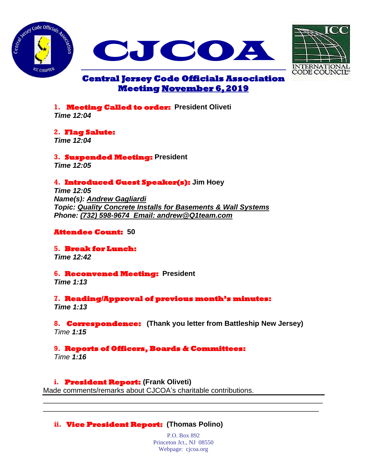





# **Central Jersey Code Officials Association Meeting November 6, 2019**

**1. Meeting Called to order: President Oliveti**  *Time 12:04*

**2. Flag Salute:** 

*Time 12:04*

**3. Suspended Meeting: President**  *Time 12:05*

# **4. Introduced Guest Speaker(s): Jim Hoey**

*Time 12:05 Name(s): Andrew Gagliardi Topic: Quality Concrete Installs for Basements & Wall Systems Phone: (732) 598-9674 Email: andrew@Q1team.com*

#### **Attendee Count: 50**

**5. Break for Lunch:**  *Time 12:42*

#### **6. Reconvened Meeting: President**

*Time 1:13*

**7. Reading/Approval of previous month's minutes:**  *Time 1:13*

# **8. Correspondence: (Thank you letter from Battleship New Jersey)**

*Time 1:15*

# **9. Reports of Officers, Boards & Committees:**

*Time 1:16*

# **i. President Report: (Frank Oliveti)**

Made comments/remarks about CJCOA's charitable contributions.

# **ii. Vice President Report: (Thomas Polino)**

P.O. Box 892 Princeton Jct., NJ 08550 Webpage: cjcoa.org

\_\_\_\_\_\_\_\_\_\_\_\_\_\_\_\_\_\_\_\_\_\_\_\_\_\_\_\_\_\_\_\_\_\_\_\_\_\_\_\_\_\_\_\_\_\_\_\_\_\_\_\_\_\_\_\_\_\_\_\_\_\_\_\_\_\_\_\_\_\_ \_\_\_\_\_\_\_\_\_\_\_\_\_\_\_\_\_\_\_\_\_\_\_\_\_\_\_\_\_\_\_\_\_\_\_\_\_\_\_\_\_\_\_\_\_\_\_\_\_\_\_\_\_\_\_\_\_\_\_\_\_\_\_\_\_\_\_\_\_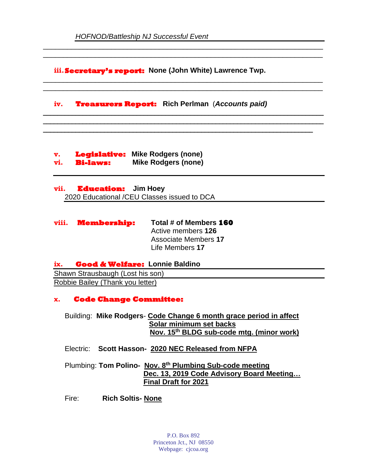**iii.Secretary's report: None (John White) Lawrence Twp.**

\_\_\_\_\_\_\_\_\_\_\_\_\_\_\_\_\_\_\_\_\_\_\_\_\_\_\_\_\_\_\_\_\_\_\_\_\_\_\_\_\_\_\_\_\_\_\_\_\_\_\_\_\_\_\_\_\_\_\_\_\_\_\_\_\_\_\_\_\_\_ \_\_\_\_\_\_\_\_\_\_\_\_\_\_\_\_\_\_\_\_\_\_\_\_\_\_\_\_\_\_\_\_\_\_\_\_\_\_\_\_\_\_\_\_\_\_\_\_\_\_\_\_\_\_\_\_\_\_\_\_\_\_\_\_\_\_\_\_\_\_

\_\_\_\_\_\_\_\_\_\_\_\_\_\_\_\_\_\_\_\_\_\_\_\_\_\_\_\_\_\_\_\_\_\_\_\_\_\_\_\_\_\_\_\_\_\_\_\_\_\_\_\_\_\_\_\_\_\_\_\_\_\_\_\_\_\_\_\_\_\_ \_\_\_\_\_\_\_\_\_\_\_\_\_\_\_\_\_\_\_\_\_\_\_\_\_\_\_\_\_\_\_\_\_\_\_\_\_\_\_\_\_\_\_\_\_\_\_\_\_\_\_\_\_\_\_\_\_\_\_\_\_\_\_\_\_\_\_\_\_\_

**\_\_\_\_\_\_\_\_\_\_\_\_\_\_\_\_\_\_\_\_\_\_\_\_\_\_\_\_\_\_\_\_\_\_\_\_\_\_\_\_\_\_\_\_\_\_\_\_\_\_\_\_\_\_\_\_\_\_\_\_\_\_\_\_\_\_\_\_\_\_\_\_\_\_\_\_\_\_ \_\_\_\_\_\_\_\_\_\_\_\_\_\_\_\_\_\_\_\_\_\_\_\_\_\_\_\_\_\_\_\_\_\_\_\_\_\_\_\_\_\_\_\_\_\_\_\_\_\_\_\_\_\_\_\_\_\_\_\_\_\_\_\_\_\_\_\_\_\_\_\_\_\_\_\_\_\_ \_\_\_\_\_\_\_\_\_\_\_\_\_\_\_\_\_\_\_\_\_\_\_\_\_\_\_\_\_\_\_\_\_\_\_\_\_\_\_\_\_\_\_\_\_\_\_\_\_\_\_\_\_\_\_\_\_\_\_\_\_\_\_\_\_\_\_\_\_\_\_\_\_\_\_**

**iv. Treasurers Report: Rich Perlman** (*Accounts paid)*

**v. Legislative: Mike Rodgers (none) vi. Bi-laws: Mike Rodgers (none)** 

**vii. Education: Jim Hoey** 2020 Educational /CEU Classes issued to DCA

**viii. Membership: Total # of Members 160** Active members **126** Associate Members **17** Life Members **17**

# **ix. Good & Welfare: Lonnie Baldino**

Shawn Strausbaugh (Lost his son) Robbie Bailey (Thank you letter)

# **x. Code Change Committee:**

Building: **Mike Rodgers**- **Code Change 6 month grace period in affect Solar minimum set backs Nov. 15th BLDG sub-code mtg. (minor work)**

Electric: **Scott Hasson- 2020 NEC Released from NFPA**

Plumbing: **Tom Polino- Nov. 8 th Plumbing Sub-code meeting Dec. 13, 2019 Code Advisory Board Meeting… Final Draft for 2021**

Fire: **Rich Soltis- None**